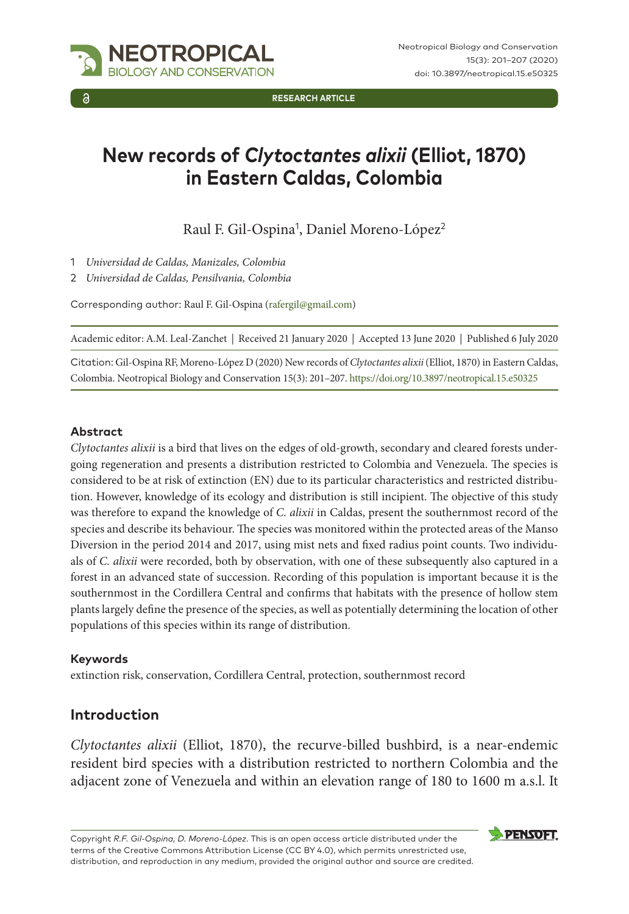

**RESEARCH ARTICLE**

# **New records of** *Clytoctantes alixii* **(Elliot, 1870) in Eastern Caldas, Colombia**

Raul F. Gil-Ospina<sup>1</sup>, Daniel Moreno-López<sup>2</sup>

- 1 *Universidad de Caldas, Manizales, Colombia*
- 2 *Universidad de Caldas, Pensilvania, Colombia*

Corresponding author: Raul F. Gil-Ospina [\(rafergil@gmail.com](mailto:rafergil@gmail.com))

Academic editor: A.M. Leal-Zanchet | Received 21 January 2020 | Accepted 13 June 2020 | Published 6 July 2020

Citation: Gil-Ospina RF, Moreno-López D (2020) New records of *Clytoctantes alixii* (Elliot, 1870) in Eastern Caldas, Colombia. Neotropical Biology and Conservation 15(3): 201–207.<https://doi.org/10.3897/neotropical.15.e50325>

#### **Abstract**

*Clytoctantes alixii* is a bird that lives on the edges of old-growth, secondary and cleared forests undergoing regeneration and presents a distribution restricted to Colombia and Venezuela. The species is considered to be at risk of extinction (EN) due to its particular characteristics and restricted distribution. However, knowledge of its ecology and distribution is still incipient. The objective of this study was therefore to expand the knowledge of *C. alixii* in Caldas, present the southernmost record of the species and describe its behaviour. The species was monitored within the protected areas of the Manso Diversion in the period 2014 and 2017, using mist nets and fixed radius point counts. Two individuals of *C. alixii* were recorded, both by observation, with one of these subsequently also captured in a forest in an advanced state of succession. Recording of this population is important because it is the southernmost in the Cordillera Central and confirms that habitats with the presence of hollow stem plants largely define the presence of the species, as well as potentially determining the location of other populations of this species within its range of distribution.

#### **Keywords**

extinction risk, conservation, Cordillera Central, protection, southernmost record

### **Introduction**

*Clytoctantes alixii* (Elliot, 1870), the recurve-billed bushbird, is a near-endemic resident bird species with a distribution restricted to northern Colombia and the adjacent zone of Venezuela and within an elevation range of 180 to 1600 m a.s.l. It

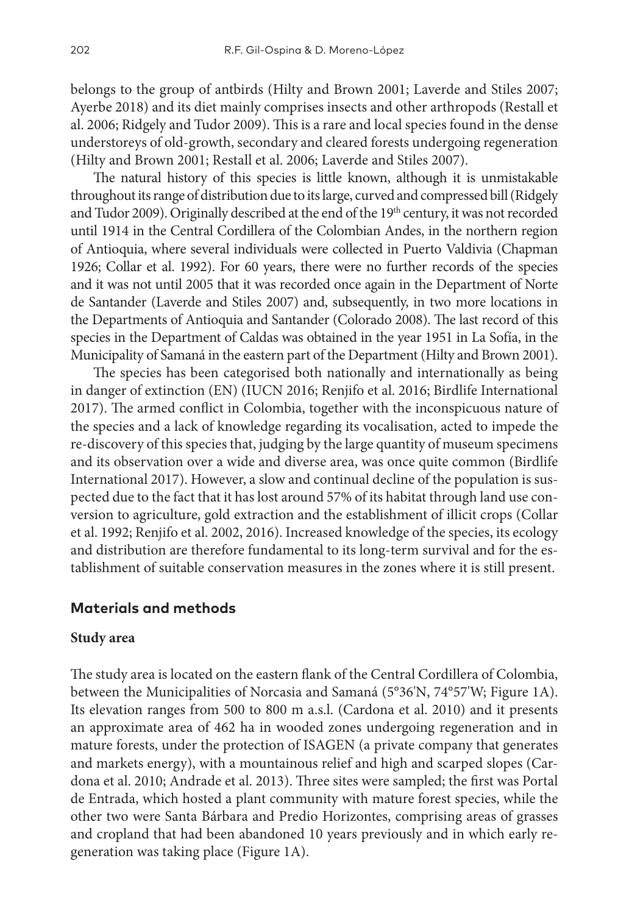belongs to the group of antbirds (Hilty and Brown 2001; Laverde and Stiles 2007; Ayerbe 2018) and its diet mainly comprises insects and other arthropods (Restall et al. 2006; Ridgely and Tudor 2009). This is a rare and local species found in the dense understoreys of old-growth, secondary and cleared forests undergoing regeneration (Hilty and Brown 2001; Restall et al. 2006; Laverde and Stiles 2007).

The natural history of this species is little known, although it is unmistakable throughout its range of distribution due to its large, curved and compressed bill (Ridgely and Tudor 2009). Originally described at the end of the 19<sup>th</sup> century, it was not recorded until 1914 in the Central Cordillera of the Colombian Andes, in the northern region of Antioquia, where several individuals were collected in Puerto Valdivia (Chapman 1926; Collar et al. 1992). For 60 years, there were no further records of the species and it was not until 2005 that it was recorded once again in the Department of Norte de Santander (Laverde and Stiles 2007) and, subsequently, in two more locations in the Departments of Antioquia and Santander (Colorado 2008). The last record of this species in the Department of Caldas was obtained in the year 1951 in La Sofía, in the Municipality of Samaná in the eastern part of the Department (Hilty and Brown 2001).

The species has been categorised both nationally and internationally as being in danger of extinction (EN) (IUCN 2016; Renjifo et al. 2016; Birdlife International 2017). The armed conflict in Colombia, together with the inconspicuous nature of the species and a lack of knowledge regarding its vocalisation, acted to impede the re-discovery of this species that, judging by the large quantity of museum specimens and its observation over a wide and diverse area, was once quite common (Birdlife International 2017). However, a slow and continual decline of the population is suspected due to the fact that it has lost around 57% of its habitat through land use conversion to agriculture, gold extraction and the establishment of illicit crops (Collar et al. 1992; Renjifo et al. 2002, 2016). Increased knowledge of the species, its ecology and distribution are therefore fundamental to its long-term survival and for the establishment of suitable conservation measures in the zones where it is still present.

### **Materials and methods**

#### **Study area**

The study area is located on the eastern flank of the Central Cordillera of Colombia, between the Municipalities of Norcasia and Samaná (5°36'N, 74°57'W; Figure 1A). Its elevation ranges from 500 to 800 m a.s.l. (Cardona et al. 2010) and it presents an approximate area of 462 ha in wooded zones undergoing regeneration and in mature forests, under the protection of ISAGEN (a private company that generates and markets energy), with a mountainous relief and high and scarped slopes (Cardona et al. 2010; Andrade et al. 2013). Three sites were sampled; the first was Portal de Entrada, which hosted a plant community with mature forest species, while the other two were Santa Bárbara and Predio Horizontes, comprising areas of grasses and cropland that had been abandoned 10 years previously and in which early regeneration was taking place (Figure 1A).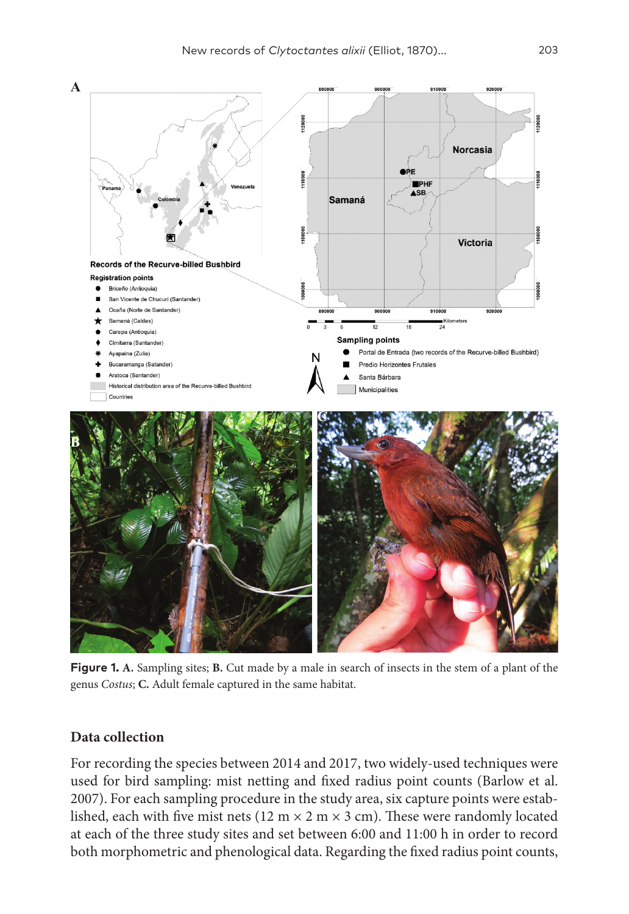

**Figure 1. A.** Sampling sites; **B.** Cut made by a male in search of insects in the stem of a plant of the genus *Costus*; **C.** Adult female captured in the same habitat.

## **Data collection**

For recording the species between 2014 and 2017, two widely-used techniques were used for bird sampling: mist netting and fixed radius point counts (Barlow et al. 2007). For each sampling procedure in the study area, six capture points were established, each with five mist nets ( $12 \text{ m} \times 2 \text{ m} \times 3 \text{ cm}$ ). These were randomly located at each of the three study sites and set between 6:00 and 11:00 h in order to record both morphometric and phenological data. Regarding the fixed radius point counts,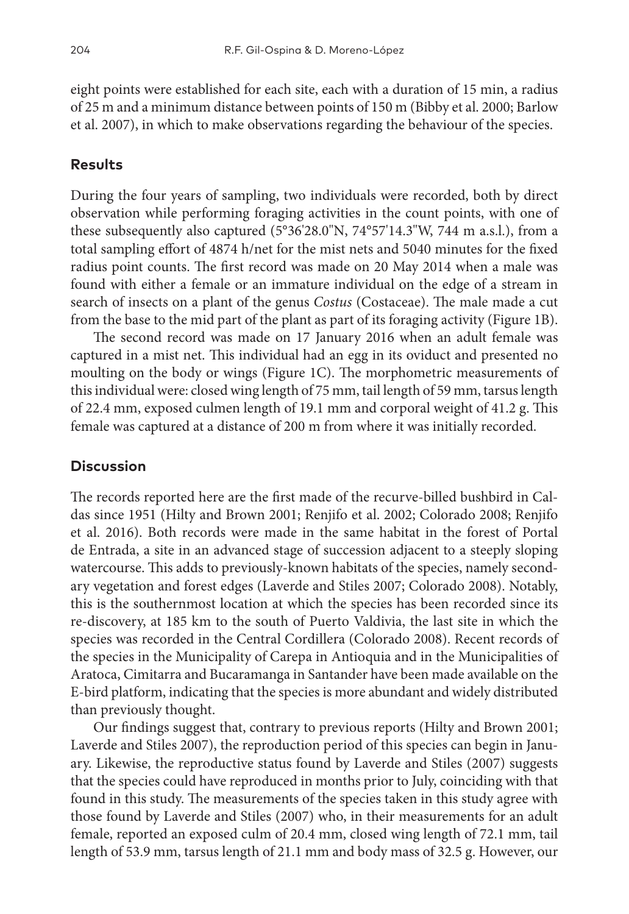eight points were established for each site, each with a duration of 15 min, a radius of 25 m and a minimum distance between points of 150 m (Bibby et al. 2000; Barlow et al. 2007), in which to make observations regarding the behaviour of the species.

## **Results**

During the four years of sampling, two individuals were recorded, both by direct observation while performing foraging activities in the count points, with one of these subsequently also captured (5°36'28.0"N, 74°57'14.3"W, 744 m a.s.l.), from a total sampling effort of 4874 h/net for the mist nets and 5040 minutes for the fixed radius point counts. The first record was made on 20 May 2014 when a male was found with either a female or an immature individual on the edge of a stream in search of insects on a plant of the genus *Costus* (Costaceae). The male made a cut from the base to the mid part of the plant as part of its foraging activity (Figure 1B).

The second record was made on 17 January 2016 when an adult female was captured in a mist net. This individual had an egg in its oviduct and presented no moulting on the body or wings (Figure 1C). The morphometric measurements of this individual were: closed wing length of 75 mm, tail length of 59 mm, tarsus length of 22.4 mm, exposed culmen length of 19.1 mm and corporal weight of 41.2 g. This female was captured at a distance of 200 m from where it was initially recorded.

### **Discussion**

The records reported here are the first made of the recurve-billed bushbird in Caldas since 1951 (Hilty and Brown 2001; Renjifo et al. 2002; Colorado 2008; Renjifo et al. 2016). Both records were made in the same habitat in the forest of Portal de Entrada, a site in an advanced stage of succession adjacent to a steeply sloping watercourse. This adds to previously-known habitats of the species, namely secondary vegetation and forest edges (Laverde and Stiles 2007; Colorado 2008). Notably, this is the southernmost location at which the species has been recorded since its re-discovery, at 185 km to the south of Puerto Valdivia, the last site in which the species was recorded in the Central Cordillera (Colorado 2008). Recent records of the species in the Municipality of Carepa in Antioquia and in the Municipalities of Aratoca, Cimitarra and Bucaramanga in Santander have been made available on the E-bird platform, indicating that the species is more abundant and widely distributed than previously thought.

Our findings suggest that, contrary to previous reports (Hilty and Brown 2001; Laverde and Stiles 2007), the reproduction period of this species can begin in January. Likewise, the reproductive status found by Laverde and Stiles (2007) suggests that the species could have reproduced in months prior to July, coinciding with that found in this study. The measurements of the species taken in this study agree with those found by Laverde and Stiles (2007) who, in their measurements for an adult female, reported an exposed culm of 20.4 mm, closed wing length of 72.1 mm, tail length of 53.9 mm, tarsus length of 21.1 mm and body mass of 32.5 g. However, our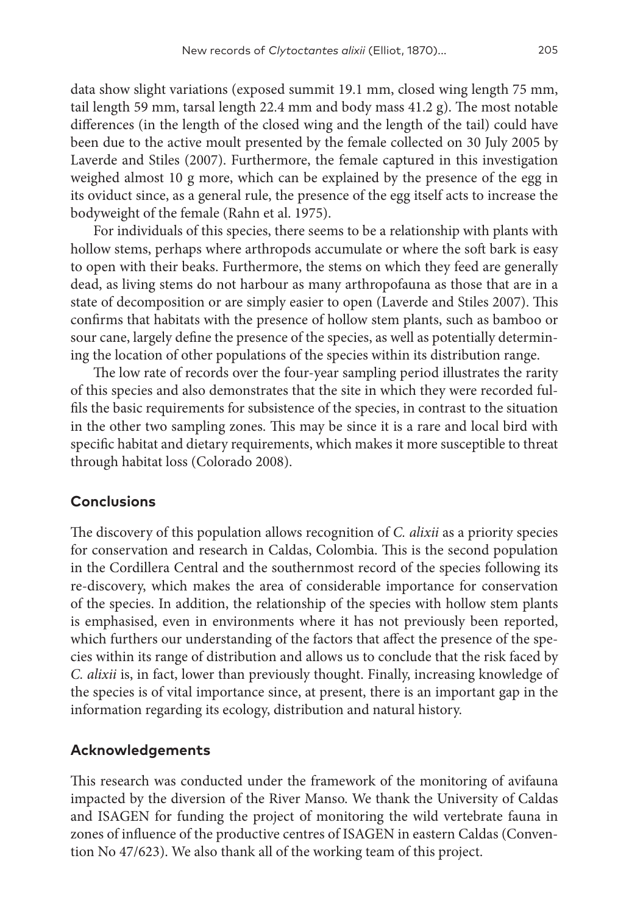data show slight variations (exposed summit 19.1 mm, closed wing length 75 mm, tail length 59 mm, tarsal length 22.4 mm and body mass 41.2 g). The most notable differences (in the length of the closed wing and the length of the tail) could have been due to the active moult presented by the female collected on 30 July 2005 by Laverde and Stiles (2007). Furthermore, the female captured in this investigation weighed almost 10 g more, which can be explained by the presence of the egg in its oviduct since, as a general rule, the presence of the egg itself acts to increase the bodyweight of the female (Rahn et al. 1975).

For individuals of this species, there seems to be a relationship with plants with hollow stems, perhaps where arthropods accumulate or where the soft bark is easy to open with their beaks. Furthermore, the stems on which they feed are generally dead, as living stems do not harbour as many arthropofauna as those that are in a state of decomposition or are simply easier to open (Laverde and Stiles 2007). This confirms that habitats with the presence of hollow stem plants, such as bamboo or sour cane, largely define the presence of the species, as well as potentially determining the location of other populations of the species within its distribution range.

The low rate of records over the four-year sampling period illustrates the rarity of this species and also demonstrates that the site in which they were recorded fulfils the basic requirements for subsistence of the species, in contrast to the situation in the other two sampling zones. This may be since it is a rare and local bird with specific habitat and dietary requirements, which makes it more susceptible to threat through habitat loss (Colorado 2008).

# **Conclusions**

The discovery of this population allows recognition of *C. alixii* as a priority species for conservation and research in Caldas, Colombia. This is the second population in the Cordillera Central and the southernmost record of the species following its re-discovery, which makes the area of considerable importance for conservation of the species. In addition, the relationship of the species with hollow stem plants is emphasised, even in environments where it has not previously been reported, which furthers our understanding of the factors that affect the presence of the species within its range of distribution and allows us to conclude that the risk faced by *C. alixii* is, in fact, lower than previously thought. Finally, increasing knowledge of the species is of vital importance since, at present, there is an important gap in the information regarding its ecology, distribution and natural history.

# **Acknowledgements**

This research was conducted under the framework of the monitoring of avifauna impacted by the diversion of the River Manso. We thank the University of Caldas and ISAGEN for funding the project of monitoring the wild vertebrate fauna in zones of influence of the productive centres of ISAGEN in eastern Caldas (Convention No 47/623). We also thank all of the working team of this project.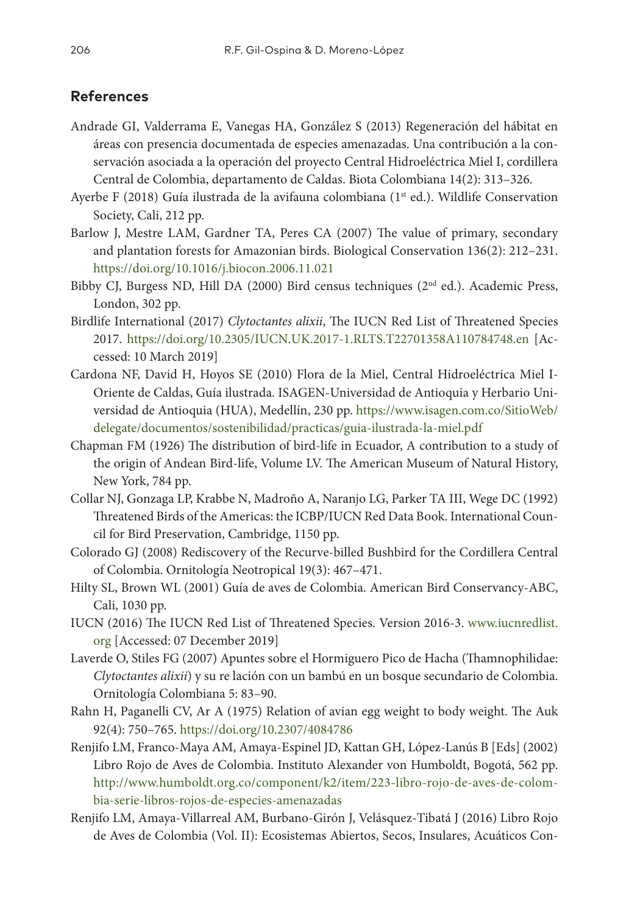# **References**

- Andrade GI, Valderrama E, Vanegas HA, González S (2013) Regeneración del hábitat en áreas con presencia documentada de especies amenazadas. Una contribución a la conservación asociada a la operación del proyecto Central Hidroeléctrica Miel I, cordillera Central de Colombia, departamento de Caldas. Biota Colombiana 14(2): 313–326.
- Ayerbe F (2018) Guía ilustrada de la avifauna colombiana (1st ed.). Wildlife Conservation Society, Cali, 212 pp.
- Barlow J, Mestre LAM, Gardner TA, Peres CA (2007) The value of primary, secondary and plantation forests for Amazonian birds. Biological Conservation 136(2): 212–231. <https://doi.org/10.1016/j.biocon.2006.11.021>
- Bibby CJ, Burgess ND, Hill DA (2000) Bird census techniques ( $2<sup>nd</sup>$  ed.). Academic Press, London, 302 pp.
- Birdlife International (2017) *Clytoctantes alixii*, The IUCN Red List of Threatened Species 2017. <https://doi.org/10.2305/IUCN.UK.2017-1.RLTS.T22701358A110784748.en>[Accessed: 10 March 2019]
- Cardona NF, David H, Hoyos SE (2010) Flora de la Miel, Central Hidroeléctrica Miel I-Oriente de Caldas, Guía ilustrada. ISAGEN-Universidad de Antioquia y Herbario Universidad de Antioquia (HUA), Medellín, 230 pp. [https://www.isagen.com.co/SitioWeb/](https://www.isagen.com.co/SitioWeb/delegate/documentos/sostenibilidad/practicas/guia-ilustrada-la-miel.pdf) [delegate/documentos/sostenibilidad/practicas/guia-ilustrada-la-miel.pdf](https://www.isagen.com.co/SitioWeb/delegate/documentos/sostenibilidad/practicas/guia-ilustrada-la-miel.pdf)
- Chapman FM (1926) The distribution of bird-life in Ecuador, A contribution to a study of the origin of Andean Bird-life, Volume LV. The American Museum of Natural History, New York, 784 pp.
- Collar NJ, Gonzaga LP, Krabbe N, Madroño A, Naranjo LG, Parker TA III, Wege DC (1992) Threatened Birds of the Americas: the ICBP/IUCN Red Data Book. International Council for Bird Preservation, Cambridge, 1150 pp.
- Colorado GJ (2008) Rediscovery of the Recurve-billed Bushbird for the Cordillera Central of Colombia. Ornitología Neotropical 19(3): 467–471.
- Hilty SL, Brown WL (2001) Guía de aves de Colombia. American Bird Conservancy-ABC, Cali, 1030 pp.
- IUCN (2016) The IUCN Red List of Threatened Species. Version 2016-3. www.iucnredlist. org [Accessed: 07 December 2019]
- Laverde O, Stiles FG (2007) Apuntes sobre el Hormiguero Pico de Hacha (Thamnophilidae: *Clytoctantes alixii*) y su re lación con un bambú en un bosque secundario de Colombia. Ornitología Colombiana 5: 83–90.
- Rahn H, Paganelli CV, Ar A (1975) Relation of avian egg weight to body weight. The Auk 92(4): 750–765. <https://doi.org/10.2307/4084786>
- Renjifo LM, Franco-Maya AM, Amaya-Espinel JD, Kattan GH, López-Lanús B [Eds] (2002) Libro Rojo de Aves de Colombia. Instituto Alexander von Humboldt, Bogotá, 562 pp. [http://www.humboldt.org.co/component/k2/item/223-libro-rojo-de-aves-de-colom](http://www.humboldt.org.co/component/k2/item/223-libro-rojo-de-aves-de-colombia-serie-libros-rojos-de-especies-amenazadas)[bia-serie-libros-rojos-de-especies-amenazadas](http://www.humboldt.org.co/component/k2/item/223-libro-rojo-de-aves-de-colombia-serie-libros-rojos-de-especies-amenazadas)
- Renjifo LM, Amaya-Villarreal AM, Burbano-Girón J, Velásquez-Tibatá J (2016) Libro Rojo de Aves de Colombia (Vol. II): Ecosistemas Abiertos, Secos, Insulares, Acuáticos Con-